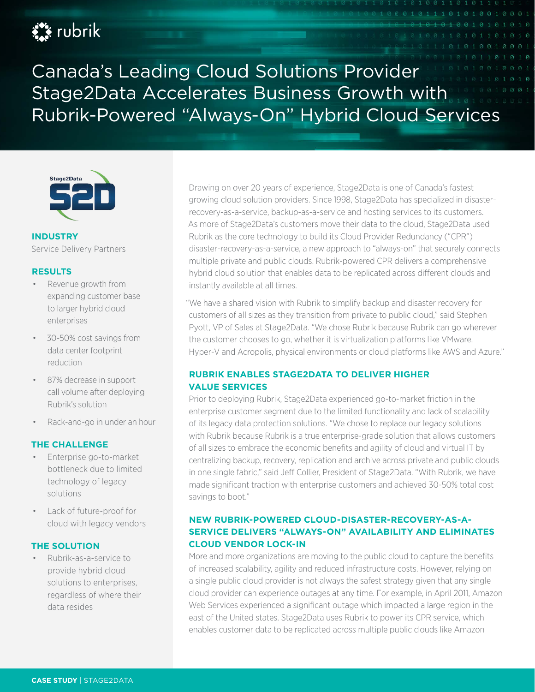# **Ext** rubrik

Canada's Leading Cloud Solutions Provider Stage2Data Accelerates Business Growth with Rubrik-Powered "Always-On" Hybrid Cloud Services



#### **INDUSTRY** Service Delivery Partners

#### **RESULTS**

- Revenue growth from expanding customer base to larger hybrid cloud enterprises
- 30-50% cost savings from data center footprint reduction
- 87% decrease in support call volume after deploying Rubrik's solution
- Rack-and-go in under an hour

### **THE CHALLENGE**

- Enterprise go-to-market bottleneck due to limited technology of legacy solutions
- Lack of future-proof for cloud with legacy vendors

#### **THE SOLUTION**

• Rubrik-as-a-service to provide hybrid cloud solutions to enterprises, regardless of where their data resides

Drawing on over 20 years of experience, Stage2Data is one of Canada's fastest growing cloud solution providers. Since 1998, Stage2Data has specialized in disasterrecovery-as-a-service, backup-as-a-service and hosting services to its customers. As more of Stage2Data's customers move their data to the cloud, Stage2Data used Rubrik as the core technology to build its Cloud Provider Redundancy ("CPR") disaster-recovery-as-a-service, a new approach to "always-on" that securely connects multiple private and public clouds. Rubrik-powered CPR delivers a comprehensive hybrid cloud solution that enables data to be replicated across different clouds and instantly available at all times.

"We have a shared vision with Rubrik to simplify backup and disaster recovery for customers of all sizes as they transition from private to public cloud," said Stephen Pyott, VP of Sales at Stage2Data. "We chose Rubrik because Rubrik can go wherever the customer chooses to go, whether it is virtualization platforms like VMware, Hyper-V and Acropolis, physical environments or cloud platforms like AWS and Azure."

## **RUBRIK ENABLES STAGE2DATA TO DELIVER HIGHER VALUE SERVICES**

Prior to deploying Rubrik, Stage2Data experienced go-to-market friction in the enterprise customer segment due to the limited functionality and lack of scalability of its legacy data protection solutions. "We chose to replace our legacy solutions with Rubrik because Rubrik is a true enterprise-grade solution that allows customers of all sizes to embrace the economic benefits and agility of cloud and virtual IT by centralizing backup, recovery, replication and archive across private and public clouds in one single fabric," said Jeff Collier, President of Stage2Data. "With Rubrik, we have made significant traction with enterprise customers and achieved 30-50% total cost savings to boot."

# **NEW RUBRIK-POWERED CLOUD-DISASTER-RECOVERY-AS-A-SERVICE DELIVERS "ALWAYS-ON" AVAILABILITY AND ELIMINATES CLOUD VENDOR LOCK-IN**

More and more organizations are moving to the public cloud to capture the benefits of increased scalability, agility and reduced infrastructure costs. However, relying on a single public cloud provider is not always the safest strategy given that any single cloud provider can experience outages at any time. For example, in April 2011, Amazon Web Services experienced a significant outage which impacted a large region in the east of the United states. Stage2Data uses Rubrik to power its CPR service, which enables customer data to be replicated across multiple public clouds like Amazon